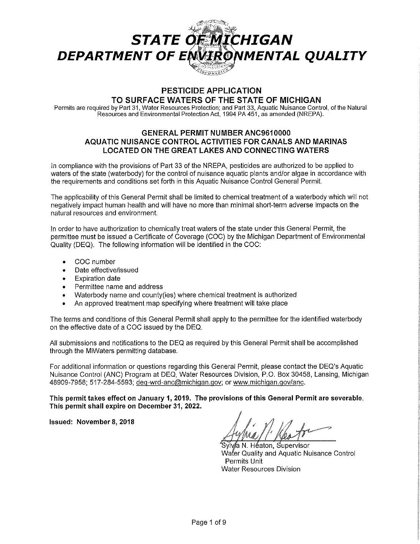

# **PESTICIDE APPLICATION TO SURFACE WATERS OF THE STATE OF MICHIGAN**

Permits are required by Part 31, Water Resources Protection; and Part 33, Aquatic Nuisance Control, of the Natural Resources and Environmental Protection Act, 1994 PA 451, as amended (NREPA).

# **GENERAL PERMIT NUMBER ANC9610000 AQUATIC NUISANCE CONTROL ACTIVITIES FOR CANALS AND MARINAS LOCATED ON THE GREAT LAKES AND CONNECTING WATERS**

In compliance with the provisions of Part 33 of the NREPA, pesticides are authorized to be applied to waters of the state (waterbody) for the control of nuisance aquatic plants and/or algae in accordance with the requirements and conditions set forth in this Aquatic Nuisance Control General Permit.

The applicability of this General Permit shall be limited to chemical treatment of a waterbody which will not negatively impact human health and will have no more than minimal short-term adverse impacts on the natural resources and environment.

In order to have authorization to chemically treat waters of the state under this General Permit, the permittee must be issued a Certificate of Coverage (COC) by the Michigan Department of Environmental Quality (DEQ). The following information will be identified in the COC:

- COC number
- Date effective/issued
- Expiration date
- Permittee name and address
- Waterbody name and county(ies) where chemical treatment is authorized
- An approved treatment map specifying where treatment will take place

The terms and conditions of this General Permit shall apply to the permittee for the identified waterbody on the effective date of a COC issued by the DEQ.

All submissions and notifications to the DEQ as required by this General Permit shall be accomplished through the MiWaters permitting database.

For additional information or questions regarding this General Permit, please contact the DEQ's Aquatic Nuisance Control (ANC) Program at DEQ, Water Resources Division, P.O. Box 30458, Lansing, Michigan 48909-7958; 517-284-5593; deq-wrd-anc@michiqan.gov; or www.michigan.gov/anc.

**This permit takes effect on January 1, 2019. The provisions of this General Permit are severable. This permit shall expire on December 31, 2022.** 

**Issued: November 8, 2018** 

Sylv⁄a N. Héaton, Supervisor Water Quality and Aquatic Nuisance Control Permits Unit **Water Resources Division**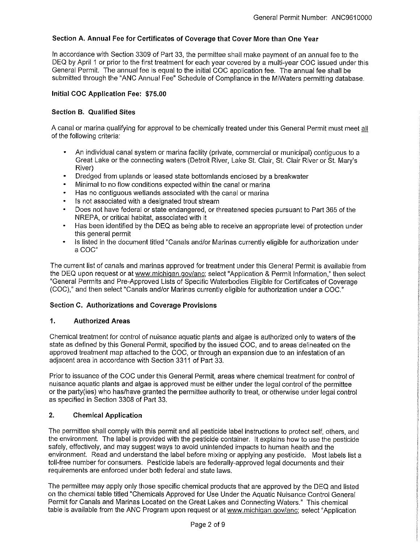# **Section A. Annual Fee for Certificates of Coverage that Cover More than One Year**

In accordance with Section 3309 of Part 33, the permittee shall make payment of an annual fee to the DEQ by April 1 or prior to the first treatment for each year covered by a multi-year COC issued under this General Permit. The annual fee is equal to the initial COC application fee. The annual fee shall be submitted through the "ANC Annual Fee" Schedule of Compliance in the MiWaters permitting database.

### **Initial COC Application Fee: \$75.00**

## **Section B. Qualified Sites**

A canal or marina qualifying for approval to be chemically treated under this General Permit must meet all of the following criteria:

- An individual canal system or marina facility (private, commercial or municipal) contiguous to a Great Lake or the connecting waters (Detroit River, Lake St. Clair, St. Clair River or St. Mary's River)
- Dredged from uplands or leased state bottomlands enclosed by a breakwater
- Minimal to no flow conditions expected within the canal or marina  $\bullet$
- Has no contiguous wetlands associated with the canal or marina
- Is not associated with a designated trout stream
- Does not have federal or state endangered, or threatened species pursuant to Part 365 of the NREPA, or critical habitat, associated with it
- $\bullet$ Has been identified by the DEQ as being able to receive an appropriate level of protection under this general permit
- Is listed in the document titled "Canals and/or Marinas currently eligible for authorization under a COC"

The current list of canals and marinas approved for treatment under this General Permit is available from the DEQ upon request or at www.michigan.gov/anc; select "Application & Permit Information," then select "General Permits and Pre-Approved Lists of Specific Waterbodies Eligible for Certificates of Coverage (COC)," and then select "Canals and/or Marinas currently eligible for authorization under a COC."

#### **Section C. Authorizations and Coverage Provisions**

#### **1. Authorized Areas**

Chemical treatment for control of nuisance aquatic plants and algae is authorized only to waters of the state as defined by this General Permit, specified by the issued COC, and to areas delineated on the approved treatment map attached to the COC, or through an expansion due to an infestation of an adjacent area in accordance with Section 3311 of Part 33.

Prior to issuance of the COC under this General Permit, areas where chemical treatment for control of nuisance aquatic plants and algae is approved must be either under the legal control of the permittee or the party(ies) who has/have granted the permittee authority to treat, or otherwise under legal control as specified in Section 3308 of Part 33.

#### **2. Chemical Application**

The permittee shall comply with this permit and all pesticide label instructions to protect self, others, and the environment. The label is provided with the pesticide container. It explains how to use the pesticide safely, effectively, and may suggest ways to avoid unintended impacts to human health and the environment. Read and understand the label before mixing or applying any pesticide. Most labels list a toll-free number for consumers. Pesticide labels are federally-approved legal documents and their requirements are enforced under both federal and state laws.

The permittee may apply only those specific chemical products that are approved by the DEQ and listed on the chemical table titled "Chemicals Approved for Use Under the Aquatic Nuisance Control General Permit for Canals and Marinas Located on the Great Lakes and Connecting Waters." This chemical table is available from the ANC Program upon request or at www.michigan.gov/anc; select "Application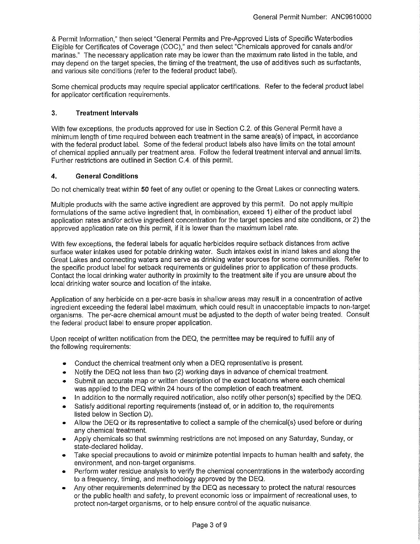& Permit Information," then select "General Permits and Pre-Approved Lists of Specific Waterbodies Eligible for Certificates of Coverage (COG)," and then select "Chemicals approved for canals and/or marinas." The necessary application rate may be lower than the maximum rate listed in the table, and may depend on the target species, the timing of the treatment, the use of additives such as surfactants, and various site conditions (refer to the federal product label).

Some chemical products may require special applicator certifications. Refer to the federal product label for applicator certification requirements.

### **3. Treatment Intervals**

With few exceptions, the products approved for use in Section C.2. of this General Permit have a minimum length of time required between each treatment in the same area(s) of impact, in accordance with the federal product label. Some of the federal product labels also have limits on the total amount of chemical applied annually per treatment area. Follow the federal treatment interval and annual limits. Further restrictions are outlined in Section C.4. of this permit.

### **4. General Conditions**

Do not chemically treat within **50** feet of any outlet or opening to the Great Lakes or connecting waters.

Multiple products with the same active ingredient are approved by this permit. Do not apply multiple formulations of the same active ingredient that, in combination, exceed 1) either of the product label application rates and/or active ingredient concentration for the target species and site conditions, or 2) the approved application rate on this permit, if it is lower than the maximum label rate.

With few exceptions, the federal labels for aquatic herbicides require setback distances from active surface water intakes used for potable drinking water. Such intakes exist in inland lakes and along the Great Lakes and connecting waters and serve as drinking water sources for some communities. Refer to the specific product label for setback requirements or guidelines prior to application of these products. Contact the local drinking water authority in proximity to the treatment site if you are unsure about the local drinking water source and location of the intake.

Application of any herbicide on a per-acre basis in shallow areas may result in a concentration of active ingredient exceeding the federal label maximum, which could result in unacceptable impacts to non-target organisms. The per-acre chemical amount must be adjusted to the depth of water being treated. Consult the federal product label to ensure proper application.

Upon receipt of written notification from the DEQ, the permittee may be required to fulfill any of the following requirements:

- Conduct the chemical treatment only when a DEQ representative is present.
- Notify the DEQ not less than two (2) working days in advance of chemical treatment.
- Submit an accurate map or written description of the exact locations where each chemical was applied to the DEQ within 24 hours of the completion of each treatment.
- In addition to the normally required notification, also notify other person(s) specified by the DEQ.
- Satisfy additional reporting requirements (instead of, or in addition to, the requirements listed below in Section D).
- Allow the DEQ or its representative to collect a sample of the chemical(s) used before or during any chemical treatment.
- Apply chemicals so that swimming restrictions are not imposed on any Saturday, Sunday, or state-declared holiday.
- Take special precautions to avoid or minimize potential impacts to human health and safety, the environment, and non-target organisms.
- Perform water residue analysis to verify the chemical concentrations in the waterbody according to a frequency, timing, and methodology approved by the DEQ.
- Any other requirements determined by the DEQ as necessary to protect the natural resources or the public health and safety, to prevent economic loss or impairment of recreational uses, to protect non-target organisms, or to help ensure control of the aquatic nuisance.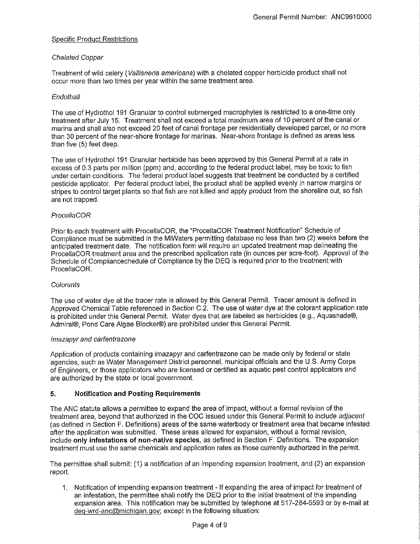## Specific Product Restrictions

### Chelated Copper

Treatment of wild celery (Vallisneria americana) with a chelated copper herbicide product shall not occur more than two times per year within the same treatment area.

#### **Endothall**

The use of Hydrothol 191 Granular to control submerged macrophytes is restricted to a one-time only treatment after July 15. Treatment shall not exceed a total maximum area of 10 percent of the canal or marina and shall also not exceed 20 feet of canal frontage per residentially developed parcel, or no more than 30 percent of the near-shore frontage for marinas. Near-shore frontage is defined as areas less than five (5) feet deep.

The use of Hydrothol 191 Granular herbicide has been approved by this General Permit at a rate in excess of 0.3 parts per million {ppm) and, according to the federal product label, may be toxic to fish under certain conditions. The federal product label suggests that treatment be conducted by a certified pesticide applicator. Per federal product label, the product shall be applied evenly in narrow margins or stripes to control target plants so that fish are not killed and apply product from the shoreline out, so fish are not trapped.

### ProcellaCOR

Prior to each treatment with ProcellaCOR, the "ProcellaCOR Treatment Notification" Schedule of Compliance must be submitted in the MiWaters permitting database no less than two (2) weeks before the anticipated treatment date. The notification form will require an updated treatment map delineating the ProcellaCOR treatment area and the prescribed application rate (in ounces per acre-foot). Approval of the Schedule of Compliancechedule of Compliance by the DEQ is required prior to the treatment with ProcellaCOR.

#### **Colorants**

The use of water dye at the tracer rate is allowed by this General Permit. Tracer amount is defined in Approved Chemical Table referenced in Section C.2. The use of water dye at the colorant application rate is prohibited under this General Permit. Water dyes that are labeled as herbicides (e.g., Aquashade®, Admiral®, Pond Care Algae Blocker®) are prohibited under this General Permit.

#### lmazapyr and carfentrazone

Application of products containing imazapyr and carfentrazone can be made only by federal or state agencies, such as Water Management District personnel, municipal officials and the U.S. Army Corps of Engineers, or those applicators who are licensed or certified as aquatic pest control applicators and are authorized by the state or local government.

# **5. Notification and Posting Requirements**

The ANC statute allows a permittee to expand the area of impact, without a formal revision of the treatment area, beyond that authorized in the COC issued under this General Permit to include adjacent (as defined in Section F. Definitions) areas of the same waterbody or treatment area that became infested after the application was submitted. These areas allowed for expansion, without a formal revision, include **only infestations of non-native species,** as defined in Section F. Definitions. The expansion treatment must use the same chemicals and application rates as those currently authorized in the permit.

The permittee shall submit: (1) a notification of an impending expansion treatment, and (2) an expansion report.

1. Notification of impending expansion treatment - If expanding the area of impact for treatment of an infestation, the permittee shall notify the DEQ prior to the initial treatment of the impending expansion area. This notification may be submitted by telephone at 517-284-5593 or by e-mail at deg-wrd-anc@michigan.gov; except in the following situation: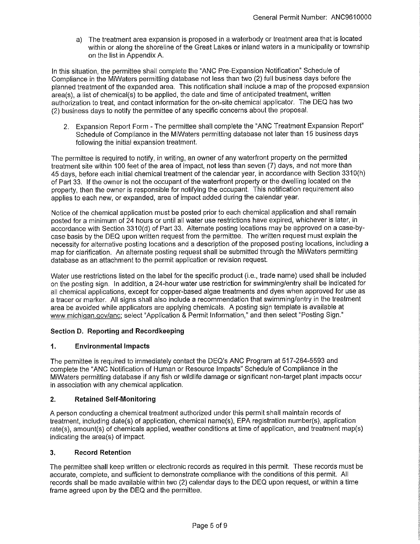a) The treatment area expansion is proposed in a waterbody or treatment area that is located within or along the shoreline of the Great Lakes or inland waters in a municipality or township on the list in Appendix A.

In this situation, the permittee shall complete the "ANG Pre-Expansion Notification" Schedule of Compliance in the MiWaters permitting database not less than two (2) full business days before the planned treatment of the expanded area. This notification shall include a map of the proposed expansion area(s), a list of chemical(s) to be applied, the date and time of anticipated treatment, written authorization to treat, and contact information for the on-site chemical applicator. The DEQ has two (2) business days to notify the permittee of any specific concerns about the proposal.

2. Expansion Report Form - The permittee shall complete the "ANG Treatment Expansion Report" Schedule of Compliance in the MiWaters permitting database not later than 15 business days following the initial expansion treatment.

The permittee is required to notify, in writing, an owner of any waterfront property on the permitted treatment site within 100 feet of the area of impact, not less than seven (7) days, and not more than 45 days, before each initial chemical treatment of the calendar year, in accordance with Section 3310(h) of Part 33. If the owner is not the occupant of the waterfront property or the dwelling located on the property, then the owner is responsible for notifying the occupant. This notification requirement also applies to each new, or expanded, area of impact added during the calendar year.

Notice of the chemical application must be posted prior to each chemical application and shall remain posted for a minimum of 24 hours or until all water use restrictions have expired, whichever is later, in accordance with Section 3310(d) of Part 33. Alternate posting locations may be approved on a case-bycase basis by the DEQ upon written request from the permittee. The written request must explain the necessity for alternative posting locations and a description of the proposed posting locations, including a map for clarification. An alternate posting request shall be submitted through the MiWaters permitting database as an attachment to the permit application or revision request.

Water use restrictions listed on the label for the specific product (i.e., trade name) used shall be included on the posting sign. In addition, a 24-hour water use restriction for swimming/entry shall be indicated for all chemical applications, except for copper-based algae treatments and dyes when approved for use as a tracer or marker. All signs shall also include a recommendation that swimming/entry in the treatment area be avoided while applicators are applying chemicals. A posting sign template is available at www.michigan.gov/anc; select "Application & Permit Information," and then select "Posting Sign."

# **Section D. Reporting and Recordkeeping**

# **1. Environmental Impacts**

The permittee is required to immediately contact the DEQ's ANC Program at 517-284-5593 and complete the "ANC Notification of Human or Resource Impacts" Schedule of Compliance in the MiWaters permitting database if any fish or wildlife damage or significant non-target plant impacts occur in association with any chemical application.

# **2. Retained Self-Monitoring**

A person conducting a chemical treatment authorized under this permit shall maintain records of treatment, including date(s) of application, chemical name(s), EPA registration number(s), application rate(s), amount(s) of chemicals applied, weather conditions at time of application, and treatment map(s) indicating the area(s) of impact.

# **3. Record Retention**

The permittee shall keep written or electronic records as required in this permit. These records must be accurate, complete, and sufficient to demonstrate compliance with the conditions of this permit. All records shall be made available within two (2) calendar days to the DEQ upon request, or within a time frame agreed upon by the DEQ and the permittee.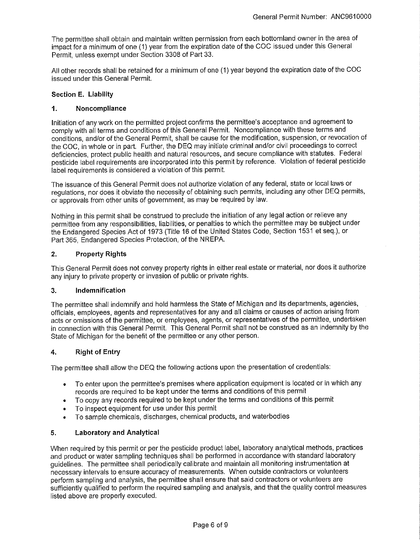The permittee shall obtain and maintain written permission from each bottomland owner in the area of impact for a minimum of one (1) year from the expiration date of the COC issued under this General Permit, unless exempt under Section 3308 of Part 33.

All other records shall be retained for a minimum of one (1) year beyond the expiration date of the COC issued under this General Permit.

### **Section E. Liability**

### **1. Noncompliance**

Initiation of any work on the permitted project confirms the permittee's acceptance and agreement to comply with all terms and conditions of this General Permit. Noncompliance with these terms and conditions, and/or of the General Permit, shall be cause for the modification, suspension, or revocation of the COC, in whole or in part. Further, the DEQ may initiate criminal and/or civil proceedings to correct deficiencies, protect public health and natural resources, and secure compliance with statutes. Federal pesticide label requirements are incorporated into this permit by reference. Violation of federal pesticide label requirements is considered a violation of this permit.

The issuance of this General Permit does not authorize violation of any federal, state or local laws or regulations, nor does it obviate the necessity of obtaining such permits, including any other DEQ permits, or approvals from other units of government, as may be required by law.

Nothing in this permit shall be construed to preclude the initiation of any legal action or relieve any permittee from any responsibilities, liabilities, or penalties to which the permittee may be subject under the Endangered Species Act of 1973 (Title 16 of the United States Code, Section 1531 et seq.), or Part 365, Endangered Species Protection, of the NREPA.

### **2. Property Rights**

This General Permit does not convey property rights in either real estate or material, nor does it authorize any injury to private property or invasion of public or private rights.

#### **3. Indemnification**

The permittee shall indemnify and hold harmless the State of Michigan and its departments, agencies, officials, employees, agents and representatives for any and all claims or causes of action arising from acts or omissions of the permittee, or employees, agents, or representatives of the permittee, undertaken in connection with this General Permit. This General Permit shall not be construed as an indemnity by the State of Michigan for the benefit of the permittee or any other person.

#### **4. Right of Entry**

The permittee shall allow the DEQ the following actions upon the presentation of credentials:

- To enter upon the permittee's premises where application equipment is located or in which any records are required to be kept under the terms and conditions of this permit
- To copy any records required to be kept under the terms and conditions of this permit
- To inspect equipment for use under this permit
- To sample chemicals, discharges, chemical products, and waterbodies

# **5. Laboratory and Analytical**

When required by this permit or per the pesticide product label, laboratory analytical methods, practices and product or water sampling techniques shall be performed in accordance with standard laboratory guidelines. The permittee shall periodically calibrate and maintain all monitoring instrumentation at necessary intervals to ensure accuracy of measurements. When outside contractors or volunteers perform sampling and analysis, the permittee shall ensure that said contractors or volunteers are sufficiently qualified to perform the required sampling and analysis, and that the quality control measures listed above are properly executed.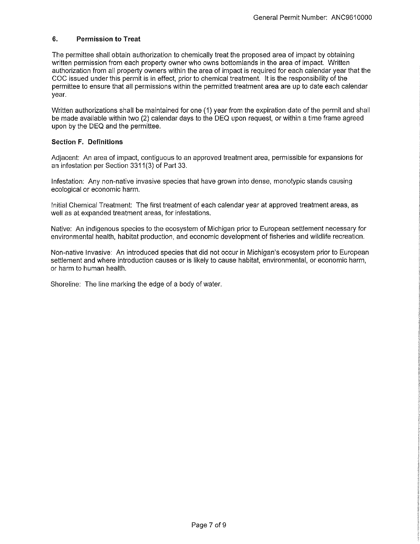### **6. Permission to Treat**

The permittee shall obtain authorization to chemically treat the proposed area of impact by obtaining written permission from each property owner who owns bottomlands in the area of impact. Written authorization from all property owners within the area of impact is required for each calendar year that the COC issued under this permit is in effect, prior to chemical treatment. It is the responsibility of the permittee to ensure that all permissions within the permitted treatment area are up to date each calendar year.

Written authorizations shall be maintained for one (1) year from the expiration date of the permit and shall be made available within two (2) calendar days to the DEQ upon request, or within a time frame agreed upon by the DEQ and the permittee.

### **Section F. Definitions**

Adjacent: An area of impact, contiguous to an approved treatment area, permissible for expansions for an infestation per Section 3311(3) of Part 33.

Infestation: Any non-native invasive species that have grown into dense, monotypic stands causing ecological or economic harm.

Initial Chemical Treatment: The first treatment of each calendar year at approved treatment areas, as well as at expanded treatment areas, for infestations.

Native: An indigenous species to the ecosystem of Michigan prior to European settlement necessary for environmental health, habitat production, and economic development of fisheries and wildlife recreation.

Non-native Invasive: An introduced species that did not occur in Michigan's ecosystem prior to European settlement and where introduction causes or is likely to cause habitat, environmental, or economic harm, or harm to human health.

Shoreline: The line marking the edge of a body of water.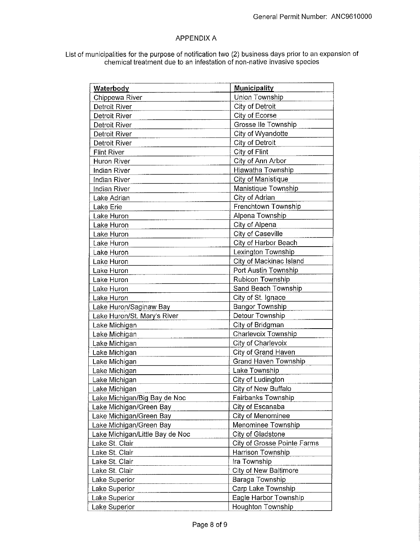# APPENDIX A

List of municipalities for the purpose of notification two (2) business days prior to an expansion of chemical treatment due to an infestation of non-native invasive species

| <b>Waterbody</b>                | <b>Municipality</b>          |
|---------------------------------|------------------------------|
| Chippewa River                  | Union Township               |
| Detroit River                   | City of Detroit              |
| Detroit River                   | City of Ecorse               |
| <b>Detroit River</b>            | Grosse IIe Township          |
| Detroit River                   | City of Wyandotte            |
| Detroit River                   | City of Detroit              |
| <b>Flint River</b>              | City of Flint                |
| Huron River                     | City of Ann Arbor            |
| Indian River                    | Hiawatha Township            |
| Indian River                    | City of Manistique           |
| Indian River                    | Manistique Township          |
| Lake Adrian                     | City of Adrian               |
| Lake Erie                       | Frenchtown Township          |
| Lake Huron                      | Alpena Township              |
| Lake Huron                      | City of Alpena               |
| Lake Huron                      | City of Caseville            |
| Lake Huron                      | City of Harbor Beach         |
| Lake Huron                      | Lexington Township           |
| Lake Huron                      | City of Mackinac Island      |
| Lake Huron                      | Port Austin Township         |
| Lake Huron                      | Rubicon Township             |
| Lake Huron                      | Sand Beach Township          |
| Lake Huron                      | City of St. Ignace           |
| Lake Huron/Saginaw Bay          | <b>Bangor Township</b>       |
| Lake Huron/St. Mary's River     | Detour Township              |
| Lake Michigan                   | City of Bridgman             |
| Lake Michigan                   | Charlevoix Township          |
| Lake Michigan                   | City of Charlevoix           |
| Lake Michigan                   | City of Grand Haven          |
| Lake Michigan                   | <b>Grand Haven Township</b>  |
| Lake Michigan                   | Lake Township                |
| Lake Michigan                   | City of Ludington            |
| Lake Michigan                   | City of New Buffalo          |
| Lake Michigan/Big Bay de Noc    | Fairbanks Township           |
| Lake Michigan/Green Bay         | City of Escanaba             |
| Lake Michigan/Green Bay         | City of Menominee            |
| Lake Michigan/Green Bay         | Menominee Township           |
| Lake Michigan/Little Bay de Noc | City of Gladstone            |
| Lake St. Clair                  | City of Grosse Pointe Farms  |
| Lake St. Clair                  | Harrison Township            |
| Lake St. Clair                  | Ira Township                 |
| Lake St. Clair                  | <b>City of New Baltimore</b> |
| Lake Superior                   | Baraga Township              |
| Lake Superior                   | Carp Lake Township           |
| Lake Superior                   | Eagle Harbor Township        |
| Lake Superior                   | Houghton Township            |